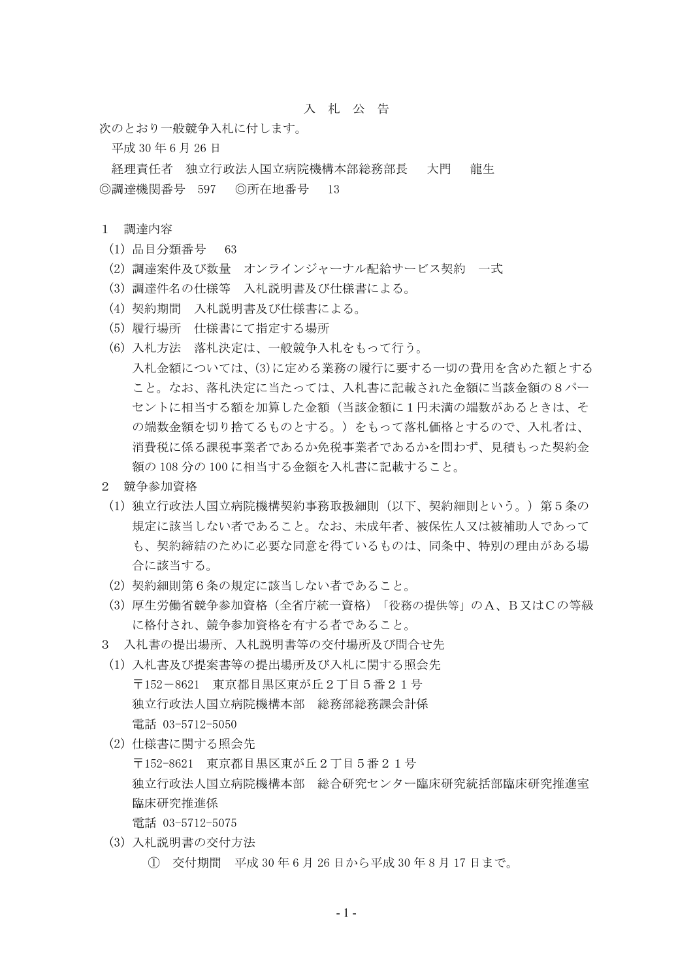## 入 札 公 告

次のとおり一般競争入札に付します。

平成 30 年 6 月 26 日

経理責任者 独立行政法人国立病院機構本部総務部長 大門 龍生 ◎調達機関番号 597 ◎所在地番号 13

## 1 調達内容

- (1) 品目分類番号 63
- (2) 調達案件及び数量 オンラインジャーナル配給サービス契約 一式
- (3) 調達件名の仕様等 入札説明書及び仕様書による。
- (4) 契約期間 入札説明書及び仕様書による。
- (5) 履行場所 仕様書にて指定する場所
- (6) 入札方法 落札決定は、一般競争入札をもって行う。 入札金額については、(3)に定める業務の履行に要する一切の費用を含めた額とする こと。なお、落札決定に当たっては、入札書に記載された金額に当該金額の8パー セントに相当する額を加算した金額(当該金額に1円未満の端数があるときは、そ の端数金額を切り捨てるものとする。)をもって落札価格とするので、入札者は、 消費税に係る課税事業者であるか免税事業者であるかを問わず、見積もった契約金 額の 108 分の 100 に相当する金額を入札書に記載すること。
- 2 競争参加資格
- (1) 独立行政法人国立病院機構契約事務取扱細則(以下、契約細則という。)第5条の 規定に該当しない者であること。なお、未成年者、被保佐人又は被補助人であって も、契約締結のために必要な同意を得ているものは、同条中、特別の理由がある場 合に該当する。
- (2) 契約細則第6条の規定に該当しない者であること。
- (3) 厚生労働省競争参加資格(全省庁統一資格)「役務の提供等」のA、B又はCの等級 に格付され、競争参加資格を有する者であること。
- 3 入札書の提出場所、入札説明書等の交付場所及び問合せ先
- (1) 入札書及び提案書等の提出場所及び入札に関する照会先 〒152-8621 東京都目黒区東が丘2丁目5番21号 独立行政法人国立病院機構本部 総務部総務課会計係 電話 03-5712-5050
- (2) 仕様書に関する照会先 〒152-8621 東京都目黒区東が丘2丁目5番21号 独立行政法人国立病院機構本部 総合研究センター臨床研究統括部臨床研究推進室 臨床研究推進係 電話 03-5712-5075
- (3) 入札説明書の交付方法
	- ① 交付期間 平成 30 年 6 月 26 日から平成 30 年 8 月 17 日まで。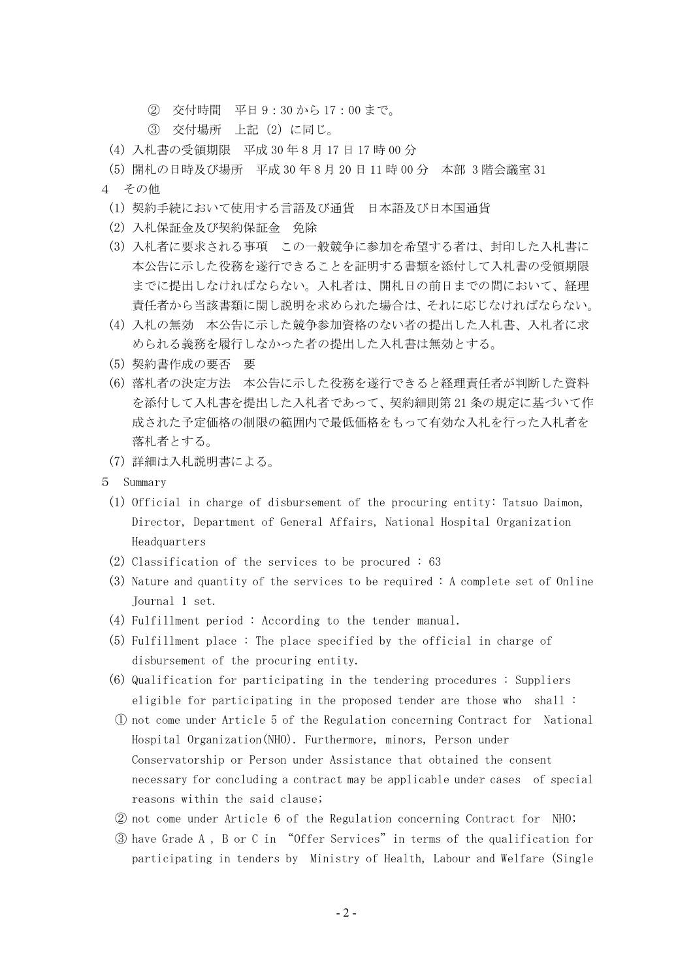- ② 交付時間 平日 9:30 から 17:00 まで。
- ③ 交付場所 上記(2)に同じ。
- (4) 入札書の受領期限 平成 30 年 8 月 17 日 17 時 00 分
- (5) 開札の日時及び場所 平成 30 年 8 月 20 日 11 時 00 分 本部 3 階会議室 31
- 4 その他
	- (1) 契約手続において使用する言語及び通貨 日本語及び日本国通貨
	- (2) 入札保証金及び契約保証金 免除
	- (3) 入札者に要求される事項 この一般競争に参加を希望する者は、封印した入札書に 本公告に示した役務を遂行できることを証明する書類を添付して入札書の受領期限 までに提出しなければならない。入札者は、開札日の前日までの間において、経理 責任者から当該書類に関し説明を求められた場合は、それに応じなければならない。
	- (4) 入札の無効 本公告に示した競争参加資格のない者の提出した入札書、入札者に求 められる義務を履行しなかった者の提出した入札書は無効とする。
	- (5) 契約書作成の要否 要
	- (6) 落札者の決定方法 本公告に示した役務を遂行できると経理責任者が判断した資料 を添付して入札書を提出した入札者であって、契約細則第 21 条の規定に基づいて作 成された予定価格の制限の範囲内で最低価格をもって有効な入札を行った入札者を 落札者とする。
	- (7) 詳細は入札説明書による。
- 5 Summary
	- (1) Official in charge of disbursement of the procuring entity: Tatsuo Daimon, Director, Department of General Affairs, National Hospital Organization Headquarters
	- (2) Classification of the services to be procured : 63
	- (3) Nature and quantity of the services to be required : A complete set of Online Journal 1 set.
	- (4) Fulfillment period : According to the tender manual.
	- (5) Fulfillment place : The place specified by the official in charge of disbursement of the procuring entity.
	- (6) Qualification for participating in the tendering procedures : Suppliers eligible for participating in the proposed tender are those who shall :
	- ① not come under Article 5 of the Regulation concerning Contract for National Hospital Organization(NHO). Furthermore, minors, Person under Conservatorship or Person under Assistance that obtained the consent necessary for concluding a contract may be applicable under cases of special reasons within the said clause;
	- ② not come under Article 6 of the Regulation concerning Contract for NHO;
	- ③ have Grade A , B or C in "Offer Services"in terms of the qualification for participating in tenders by Ministry of Health, Labour and Welfare (Single